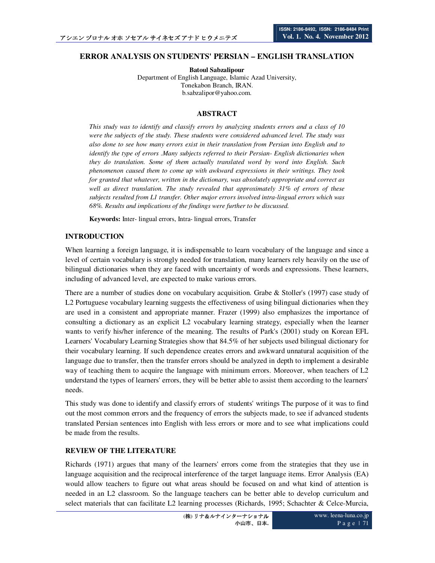# **ERROR ANALYSIS ON STUDENTS' PERSIAN – ENGLISH TRANSLATION**

**Batoul Sabzalipour** 

Department of English Language, Islamic Azad University, Tonekabon Branch, IRAN. b.sabzalipor@yahoo.com.

### **ABSTRACT**

*This study was to identify and classify errors by analyzing students errors and a class of 10 were the subjects of the study. These students were considered advanced level. The study was also done to see how many errors exist in their translation from Persian into English and to identify the type of errors .Many subjects referred to their Persian- English dictionaries when they do translation. Some of them actually translated word by word into English. Such phenomenon caused them to come up with awkward expressions in their writings. They took for granted that whatever, written in the dictionary, was absolutely appropriate and correct as well as direct translation. The study revealed that approximately 31% of errors of these subjects resulted from L1 transfer. Other major errors involved intra-lingual errors which was 68%. Results and implications of the findings were further to be discussed.* 

**Keywords:** Inter- lingual errors, Intra- lingual errors, Transfer

## **INTRODUCTION**

When learning a foreign language, it is indispensable to learn vocabulary of the language and since a level of certain vocabulary is strongly needed for translation, many learners rely heavily on the use of bilingual dictionaries when they are faced with uncertainty of words and expressions. These learners, including of advanced level, are expected to make various errors.

There are a number of studies done on vocabulary acquisition. Grabe & Stoller's (1997) case study of L2 Portuguese vocabulary learning suggests the effectiveness of using bilingual dictionaries when they are used in a consistent and appropriate manner. Frazer (1999) also emphasizes the importance of consulting a dictionary as an explicit L2 vocabulary learning strategy, especially when the learner wants to verify his/her inference of the meaning. The results of Park's (2001) study on Korean EFL Learners' Vocabulary Learning Strategies show that 84.5% of her subjects used bilingual dictionary for their vocabulary learning. If such dependence creates errors and awkward unnatural acquisition of the language due to transfer, then the transfer errors should be analyzed in depth to implement a desirable way of teaching them to acquire the language with minimum errors. Moreover, when teachers of L2 understand the types of learners' errors, they will be better able to assist them according to the learners' needs.

This study was done to identify and classify errors of students' writings The purpose of it was to find out the most common errors and the frequency of errors the subjects made, to see if advanced students translated Persian sentences into English with less errors or more and to see what implications could be made from the results.

### **REVIEW OF THE LITERATURE**

Richards (1971) argues that many of the learners' errors come from the strategies that they use in language acquisition and the reciprocal interference of the target language items. Error Analysis (EA) would allow teachers to figure out what areas should be focused on and what kind of attention is needed in an L2 classroom. So the language teachers can be better able to develop curriculum and select materials that can facilitate L2 learning processes (Richards, 1995; Schachter & Celce-Murcia,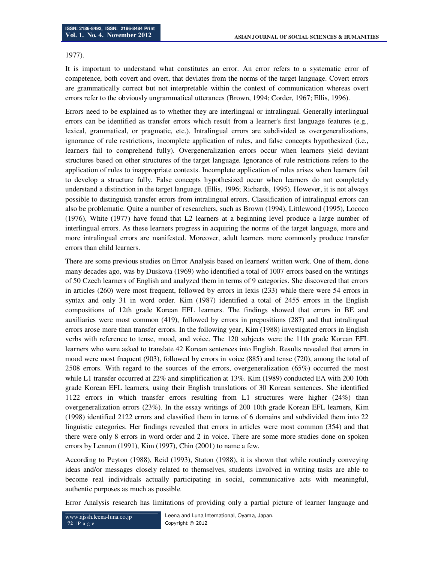### 1977).

It is important to understand what constitutes an error. An error refers to a systematic error of competence, both covert and overt, that deviates from the norms of the target language. Covert errors are grammatically correct but not interpretable within the context of communication whereas overt errors refer to the obviously ungrammatical utterances (Brown, 1994; Corder, 1967; Ellis, 1996).

Errors need to be explained as to whether they are interlingual or intralingual. Generally interlingual errors can be identified as transfer errors which result from a learner's first language features (e.g., lexical, grammatical, or pragmatic, etc.). Intralingual errors are subdivided as overgeneralizations, ignorance of rule restrictions, incomplete application of rules, and false concepts hypothesized (i.e., learners fail to comprehend fully). Overgeneralization errors occur when learners yield deviant structures based on other structures of the target language. Ignorance of rule restrictions refers to the application of rules to inappropriate contexts. Incomplete application of rules arises when learners fail to develop a structure fully. False concepts hypothesized occur when learners do not completely understand a distinction in the target language. (Ellis, 1996; Richards, 1995). However, it is not always possible to distinguish transfer errors from intralingual errors. Classification of intralingual errors can also be problematic. Quite a number of researchers, such as Brown (1994), Littlewood (1995), Lococo (1976), White (1977) have found that L2 learners at a beginning level produce a large number of interlingual errors. As these learners progress in acquiring the norms of the target language, more and more intralingual errors are manifested. Moreover, adult learners more commonly produce transfer errors than child learners.

There are some previous studies on Error Analysis based on learners' written work. One of them, done many decades ago, was by Duskova (1969) who identified a total of 1007 errors based on the writings of 50 Czech learners of English and analyzed them in terms of 9 categories. She discovered that errors in articles (260) were most frequent, followed by errors in lexis (233) while there were 54 errors in syntax and only 31 in word order. Kim (1987) identified a total of 2455 errors in the English compositions of 12th grade Korean EFL learners. The findings showed that errors in BE and auxiliaries were most common (419), followed by errors in prepositions (287) and that intralingual errors arose more than transfer errors. In the following year, Kim (1988) investigated errors in English verbs with reference to tense, mood, and voice. The 120 subjects were the 11th grade Korean EFL learners who were asked to translate 42 Korean sentences into English. Results revealed that errors in mood were most frequent (903), followed by errors in voice (885) and tense (720), among the total of 2508 errors. With regard to the sources of the errors, overgeneralization (65%) occurred the most while L1 transfer occurred at 22% and simplification at 13%. Kim (1989) conducted EA with 200 10th grade Korean EFL learners, using their English translations of 30 Korean sentences. She identified 1122 errors in which transfer errors resulting from L1 structures were higher (24%) than overgeneralization errors (23%). In the essay writings of 200 10th grade Korean EFL learners, Kim (1998) identified 2122 errors and classified them in terms of 6 domains and subdivided them into 22 linguistic categories. Her findings revealed that errors in articles were most common (354) and that there were only 8 errors in word order and 2 in voice. There are some more studies done on spoken errors by Lennon (1991), Kim (1997), Chin (2001) to name a few.

According to Peyton (1988), Reid (1993), Staton (1988), it is shown that while routinely conveying ideas and/or messages closely related to themselves, students involved in writing tasks are able to become real individuals actually participating in social, communicative acts with meaningful, authentic purposes as much as possible.

Error Analysis research has limitations of providing only a partial picture of learner language and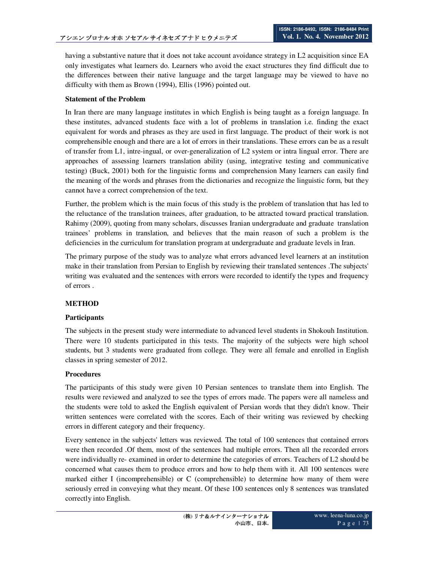having a substantive nature that it does not take account avoidance strategy in L2 acquisition since EA only investigates what learners do. Learners who avoid the exact structures they find difficult due to the differences between their native language and the target language may be viewed to have no difficulty with them as Brown (1994), Ellis (1996) pointed out.

### **Statement of the Problem**

In Iran there are many language institutes in which English is being taught as a foreign language. In these institutes, advanced students face with a lot of problems in translation i.e. finding the exact equivalent for words and phrases as they are used in first language. The product of their work is not comprehensible enough and there are a lot of errors in their translations. These errors can be as a result of transfer from L1, intre-ingual, or over-generalization of L2 system or intra lingual error. There are approaches of assessing learners translation ability (using, integrative testing and communicative testing) (Buck, 2001) both for the linguistic forms and comprehension Many learners can easily find the meaning of the words and phrases from the dictionaries and recognize the linguistic form, but they cannot have a correct comprehension of the text.

Further, the problem which is the main focus of this study is the problem of translation that has led to the reluctance of the translation trainees, after graduation, to be attracted toward practical translation. Rahimy (2009), quoting from many scholars, discusses Iranian undergraduate and graduate translation trainees' problems in translation, and believes that the main reason of such a problem is the deficiencies in the curriculum for translation program at undergraduate and graduate levels in Iran.

The primary purpose of the study was to analyze what errors advanced level learners at an institution make in their translation from Persian to English by reviewing their translated sentences .The subjects' writing was evaluated and the sentences with errors were recorded to identify the types and frequency of errors .

## **METHOD**

### **Participants**

The subjects in the present study were intermediate to advanced level students in Shokouh Institution. There were 10 students participated in this tests. The majority of the subjects were high school students, but 3 students were graduated from college. They were all female and enrolled in English classes in spring semester of 2012.

### **Procedures**

The participants of this study were given 10 Persian sentences to translate them into English. The results were reviewed and analyzed to see the types of errors made. The papers were all nameless and the students were told to asked the English equivalent of Persian words that they didn't know. Their written sentences were correlated with the scores. Each of their writing was reviewed by checking errors in different category and their frequency.

Every sentence in the subjects' letters was reviewed. The total of 100 sentences that contained errors were then recorded .Of them, most of the sentences had multiple errors. Then all the recorded errors were individually re- examined in order to determine the categories of errors. Teachers of L2 should be concerned what causes them to produce errors and how to help them with it. All 100 sentences were marked either I (incomprehensible) or C (comprehensible) to determine how many of them were seriously erred in conveying what they meant. Of these 100 sentences only 8 sentences was translated correctly into English.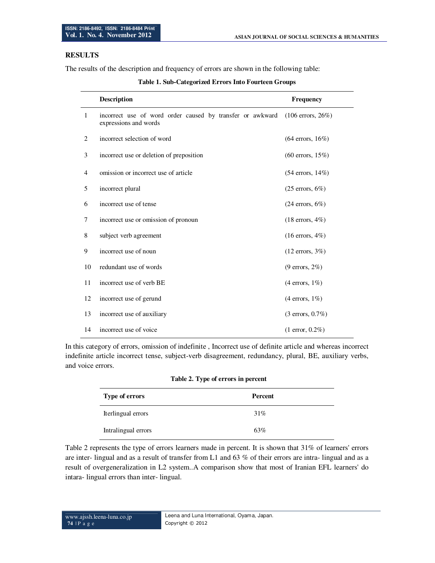## **RESULTS**

The results of the description and frequency of errors are shown in the following table:

|    | <b>Description</b>                                                                 | Frequency                   |
|----|------------------------------------------------------------------------------------|-----------------------------|
| 1  | incorrect use of word order caused by transfer or awkward<br>expressions and words | $(106$ errors, $26\%)$      |
| 2  | incorrect selection of word                                                        | $(64$ errors, $16\%)$       |
| 3  | incorrect use or deletion of preposition                                           | $(60 \text{ errors}, 15\%)$ |
| 4  | omission or incorrect use of article                                               | $(54 \text{ errors}, 14\%)$ |
| 5  | incorrect plural                                                                   | $(25$ errors, $6\%)$        |
| 6  | incorrect use of tense                                                             | $(24$ errors, $6\%)$        |
| 7  | incorrect use or omission of pronoun                                               | $(18 \text{ errors}, 4\%)$  |
| 8  | subject verb agreement                                                             | $(16$ errors, $4\%)$        |
| 9  | incorrect use of noun                                                              | $(12$ errors, $3\%)$        |
| 10 | redundant use of words                                                             | $(9$ errors, $2\%)$         |
| 11 | incorrect use of verb BE                                                           | $(4$ errors, $1\%)$         |
| 12 | incorrect use of gerund                                                            | $(4$ errors, $1\%)$         |
| 13 | incorrect use of auxiliary                                                         | $(3 \text{ errors}, 0.7\%)$ |
| 14 | incorrect use of voice                                                             | $(1 \text{ error}, 0.2\%)$  |

#### **Table 1. Sub-Categorized Errors Into Fourteen Groups**

In this category of errors, omission of indefinite , Incorrect use of definite article and whereas incorrect indefinite article incorrect tense, subject-verb disagreement, redundancy, plural, BE, auxiliary verbs, and voice errors.

#### **Table 2. Type of errors in percent**

| <b>Type of errors</b> | Percent |
|-----------------------|---------|
| Iterlingual errors    | 31%     |
| Intralingual errors   | 63%     |

Table 2 represents the type of errors learners made in percent. It is shown that 31% of learners' errors are inter- lingual and as a result of transfer from L1 and 63 % of their errors are intra- lingual and as a result of overgeneralization in L2 system..A comparison show that most of Iranian EFL learners' do intara- lingual errors than inter- lingual.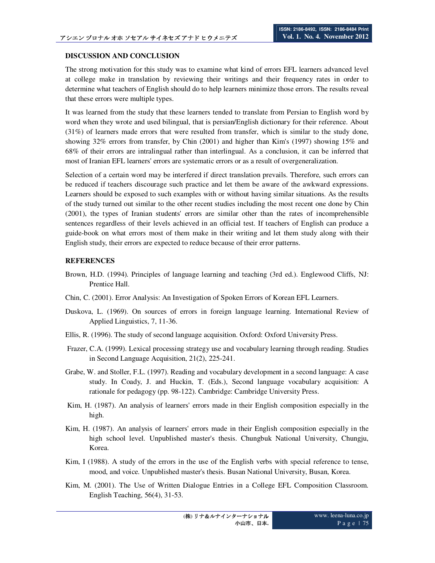### **DISCUSSION AND CONCLUSION**

The strong motivation for this study was to examine what kind of errors EFL learners advanced level at college make in translation by reviewing their writings and their frequency rates in order to determine what teachers of English should do to help learners minimize those errors. The results reveal that these errors were multiple types.

It was learned from the study that these learners tended to translate from Persian to English word by word when they wrote and used bilingual, that is persian/English dictionary for their reference. About (31%) of learners made errors that were resulted from transfer, which is similar to the study done, showing 32% errors from transfer, by Chin (2001) and higher than Kim's (1997) showing 15% and 68% of their errors are intralingual rather than interlingual. As a conclusion, it can be inferred that most of Iranian EFL learners' errors are systematic errors or as a result of overgeneralization.

Selection of a certain word may be interfered if direct translation prevails. Therefore, such errors can be reduced if teachers discourage such practice and let them be aware of the awkward expressions. Learners should be exposed to such examples with or without having similar situations. As the results of the study turned out similar to the other recent studies including the most recent one done by Chin (2001), the types of Iranian students' errors are similar other than the rates of incomprehensible sentences regardless of their levels achieved in an official test. If teachers of English can produce a guide-book on what errors most of them make in their writing and let them study along with their English study, their errors are expected to reduce because of their error patterns.

### **REFERENCES**

- Brown, H.D. (1994). Principles of language learning and teaching (3rd ed.). Englewood Cliffs, NJ: Prentice Hall.
- Chin, C. (2001). Error Analysis: An Investigation of Spoken Errors of Korean EFL Learners.
- Duskova, L. (1969). On sources of errors in foreign language learning. International Review of Applied Linguistics, 7, 11-36.
- Ellis, R. (1996). The study of second language acquisition. Oxford: Oxford University Press.
- Frazer, C.A. (1999). Lexical processing strategy use and vocabulary learning through reading. Studies in Second Language Acquisition, 21(2), 225-241.
- Grabe, W. and Stoller, F.L. (1997). Reading and vocabulary development in a second language: A case study. In Coady, J. and Huckin, T. (Eds.), Second language vocabulary acquisition: A rationale for pedagogy (pp. 98-122). Cambridge: Cambridge University Press.
- Kim, H. (1987). An analysis of learners' errors made in their English composition especially in the high.
- Kim, H. (1987). An analysis of learners' errors made in their English composition especially in the high school level. Unpublished master's thesis. Chungbuk National University, Chungju, Korea.
- Kim, I (1988). A study of the errors in the use of the English verbs with special reference to tense, mood, and voice. Unpublished master's thesis. Busan National University, Busan, Korea.
- Kim, M. (2001). The Use of Written Dialogue Entries in a College EFL Composition Classroom. English Teaching, 56(4), 31-53.